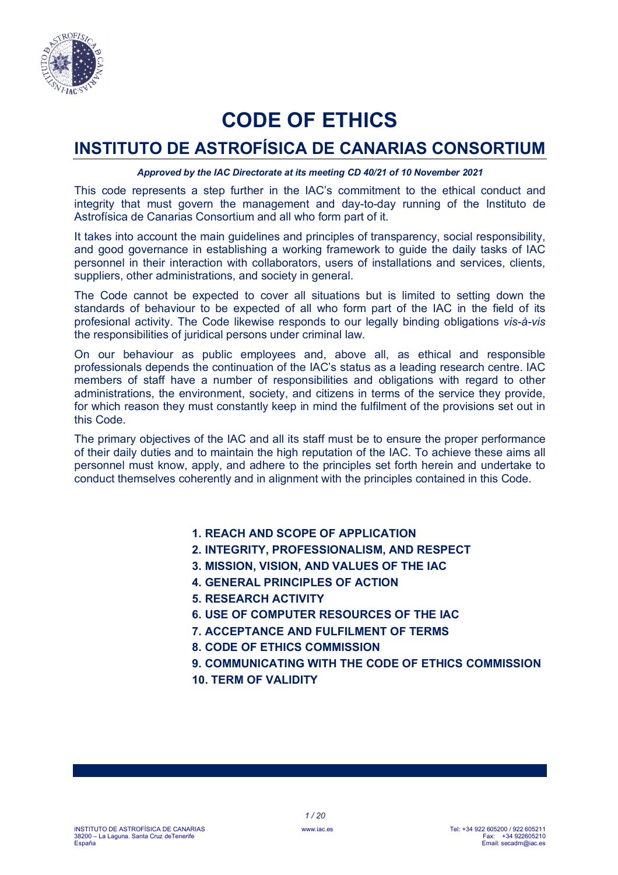

# **CODE OF ETHICS**

# **INSTITUTO DE ASTROFÍSICA DE CANARIAS CONSORTIUM**

#### *Approved by the IAC Directorate at its meeting CD 40/21 of 10 November 2021*

This code represents a step further in the IAC's commitment to the ethical conduct and integrity that must govern the management and day-to-day running of the Instituto de Astrofísica de Canarias Consortium and all who form part of it.

It takes into account the main guidelines and principles of transparency, social responsibility, and good governance in establishing a working framework to guide the daily tasks of IAC personnel in their interaction with collaborators, users of installations and services, clients, suppliers, other administrations, and society in general.

The Code cannot be expected to cover all situations but is limited to setting down the standards of behaviour to be expected of all who form part of the IAC in the field of its profesional activity. The Code likewise responds to our legally binding obligations *vis-à-vis* the responsibilities of juridical persons under criminal law.

On our behaviour as public employees and, above all, as ethical and responsible professionals depends the continuation of the IAC's status as a leading research centre. IAC members of staff have a number of responsibilities and obligations with regard to other administrations, the environment, society, and citizens in terms of the service they provide, for which reason they must constantly keep in mind the fulfilment of the provisions set out in this Code.

The primary objectives of the IAC and all its staff must be to ensure the proper performance of their daily duties and to maintain the high reputation of the IAC. To achieve these aims all personnel must know, apply, and adhere to the principles set forth herein and undertake to conduct themselves coherently and in alignment with the principles contained in this Code.

# **1. REACH AND SCOPE OF APPLICATION**

- **2. INTEGRITY, PROFESSIONALISM, AND RESPECT**
- **3. MISSION, VISION, AND VALUES OF THE IAC**
- **4. GENERAL PRINCIPLES OF ACTION**
- **5. RESEARCH ACTIVITY**
- **6. USE OF COMPUTER RESOURCES OF THE IAC**
- **7. ACCEPTANCE AND FULFILMENT OF TERMS**
- **8. CODE OF ETHICS COMMISSION**

**9. COMMUNICATING WITH THE CODE OF ETHICS COMMISSION 10. TERM OF VALIDITY**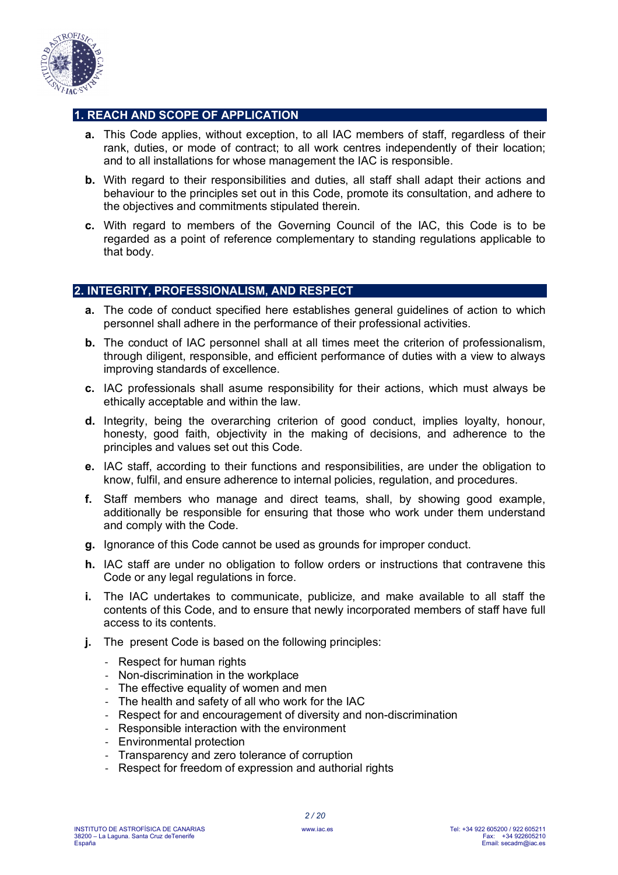

# **1. REACH AND SCOPE OF APPLICATION**

- **a.** This Code applies, without exception, to all IAC members of staff, regardless of their rank, duties, or mode of contract; to all work centres independently of their location; and to all installations for whose management the IAC is responsible.
- **b.** With regard to their responsibilities and duties, all staff shall adapt their actions and behaviour to the principles set out in this Code, promote its consultation, and adhere to the objectives and commitments stipulated therein.
- **c.** With regard to members of the Governing Council of the IAC, this Code is to be regarded as a point of reference complementary to standing regulations applicable to that body.

# **2. INTEGRITY, PROFESSIONALISM, AND RESPECT**

- **a.** The code of conduct specified here establishes general guidelines of action to which personnel shall adhere in the performance of their professional activities.
- **b.** The conduct of IAC personnel shall at all times meet the criterion of professionalism, through diligent, responsible, and efficient performance of duties with a view to always improving standards of excellence.
- **c.** IAC professionals shall asume responsibility for their actions, which must always be ethically acceptable and within the law.
- **d.** Integrity, being the overarching criterion of good conduct, implies loyalty, honour, honesty, good faith, objectivity in the making of decisions, and adherence to the principles and values set out this Code.
- **e.** IAC staff, according to their functions and responsibilities, are under the obligation to know, fulfil, and ensure adherence to internal policies, regulation, and procedures.
- **f.** Staff members who manage and direct teams, shall, by showing good example, additionally be responsible for ensuring that those who work under them understand and comply with the Code.
- **g.** Ignorance of this Code cannot be used as grounds for improper conduct.
- **h.** IAC staff are under no obligation to follow orders or instructions that contravene this Code or any legal regulations in force.
- **i.** The IAC undertakes to communicate, publicize, and make available to all staff the contents of this Code, and to ensure that newly incorporated members of staff have full access to its contents.
- **j.** The present Code is based on the following principles:
	- Respect for human rights
	- Non-discrimination in the workplace
	- The effective equality of women and men
	- The health and safety of all who work for the IAC
	- Respect for and encouragement of diversity and non-discrimination
	- Responsible interaction with the environment
	- Environmental protection
	- Transparency and zero tolerance of corruption
	- Respect for freedom of expression and authorial rights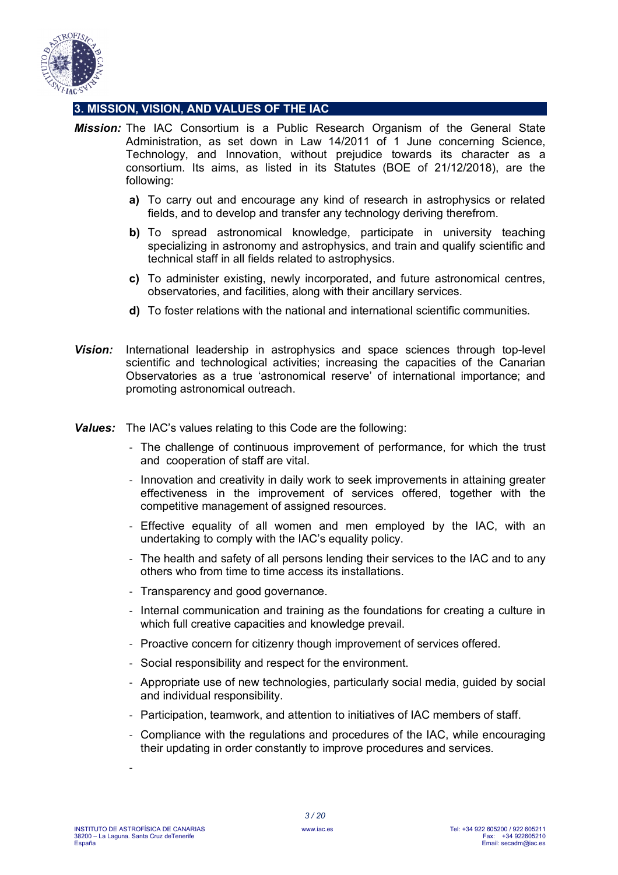

# **3. MISSION, VISION, AND VALUES OF THE IAC**

- *Mission:* The IAC Consortium is a Public Research Organism of the General State Administration, as set down in Law 14/2011 of 1 June concerning Science, Technology, and Innovation, without prejudice towards its character as a consortium. Its aims, as listed in its Statutes (BOE of 21/12/2018), are the following:
	- **a)** To carry out and encourage any kind of research in astrophysics or related fields, and to develop and transfer any technology deriving therefrom.
	- **b)** To spread astronomical knowledge, participate in university teaching specializing in astronomy and astrophysics, and train and qualify scientific and technical staff in all fields related to astrophysics.
	- **c)** To administer existing, newly incorporated, and future astronomical centres, observatories, and facilities, along with their ancillary services.
	- **d)** To foster relations with the national and international scientific communities.
- *Vision:* International leadership in astrophysics and space sciences through top-level scientific and technological activities; increasing the capacities of the Canarian Observatories as a true 'astronomical reserve' of international importance; and promoting astronomical outreach.
- *Values:* The IAC's values relating to this Code are the following:
	- The challenge of continuous improvement of performance, for which the trust and cooperation of staff are vital.
	- Innovation and creativity in daily work to seek improvements in attaining greater effectiveness in the improvement of services offered, together with the competitive management of assigned resources.
	- Effective equality of all women and men employed by the IAC, with an undertaking to comply with the IAC's equality policy.
	- The health and safety of all persons lending their services to the IAC and to any others who from time to time access its installations.
	- Transparency and good governance.
	- Internal communication and training as the foundations for creating a culture in which full creative capacities and knowledge prevail.
	- Proactive concern for citizenry though improvement of services offered.
	- Social responsibility and respect for the environment.
	- Appropriate use of new technologies, particularly social media, guided by social and individual responsibility.
	- Participation, teamwork, and attention to initiatives of IAC members of staff.
	- Compliance with the regulations and procedures of the IAC, while encouraging their updating in order constantly to improve procedures and services.

-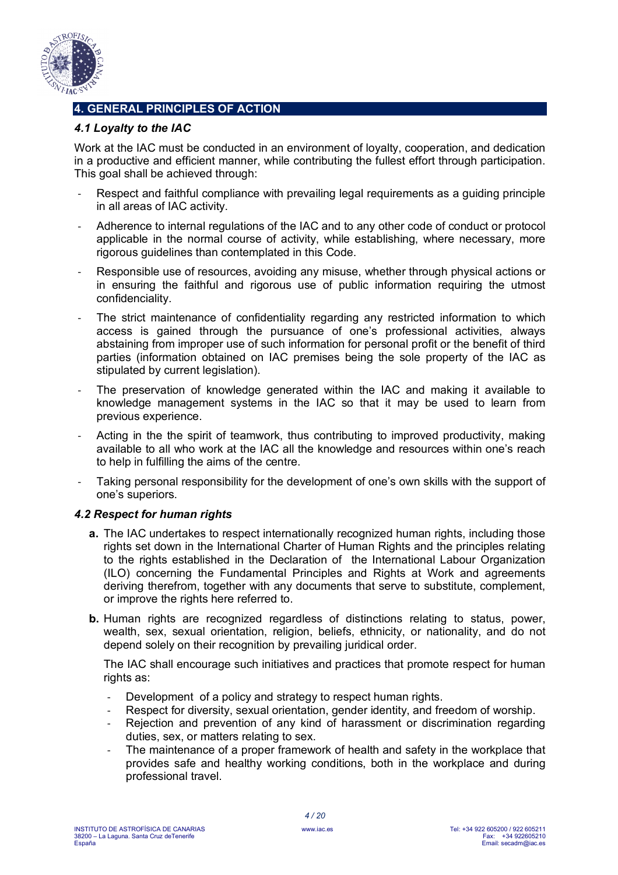

# **4. GENERAL PRINCIPLES OF ACTION**

# *4.1 Loyalty to the IAC*

Work at the IAC must be conducted in an environment of loyalty, cooperation, and dedication in a productive and efficient manner, while contributing the fullest effort through participation. This goal shall be achieved through:

- Respect and faithful compliance with prevailing legal requirements as a quiding principle in all areas of IAC activity.
- Adherence to internal regulations of the IAC and to any other code of conduct or protocol applicable in the normal course of activity, while establishing, where necessary, more rigorous guidelines than contemplated in this Code.
- Responsible use of resources, avoiding any misuse, whether through physical actions or in ensuring the faithful and rigorous use of public information requiring the utmost confidenciality.
- The strict maintenance of confidentiality regarding any restricted information to which access is gained through the pursuance of one's professional activities, always abstaining from improper use of such information for personal profit or the benefit of third parties (information obtained on IAC premises being the sole property of the IAC as stipulated by current legislation).
- The preservation of knowledge generated within the IAC and making it available to knowledge management systems in the IAC so that it may be used to learn from previous experience.
- Acting in the the spirit of teamwork, thus contributing to improved productivity, making available to all who work at the IAC all the knowledge and resources within one's reach to help in fulfilling the aims of the centre.
- Taking personal responsibility for the development of one's own skills with the support of one's superiors.

# *4.2 Respect for human rights*

- **a.** The IAC undertakes to respect internationally recognized human rights, including those rights set down in the International Charter of Human Rights and the principles relating to the rights established in the Declaration of the International Labour Organization (ILO) concerning the Fundamental Principles and Rights at Work and agreements deriving therefrom, together with any documents that serve to substitute, complement, or improve the rights here referred to.
- **b.** Human rights are recognized regardless of distinctions relating to status, power, wealth, sex, sexual orientation, religion, beliefs, ethnicity, or nationality, and do not depend solely on their recognition by prevailing juridical order.

The IAC shall encourage such initiatives and practices that promote respect for human rights as:

- Development of a policy and strategy to respect human rights.
- Respect for diversity, sexual orientation, gender identity, and freedom of worship.
- Rejection and prevention of any kind of harassment or discrimination regarding duties, sex, or matters relating to sex.
- The maintenance of a proper framework of health and safety in the workplace that provides safe and healthy working conditions, both in the workplace and during professional travel.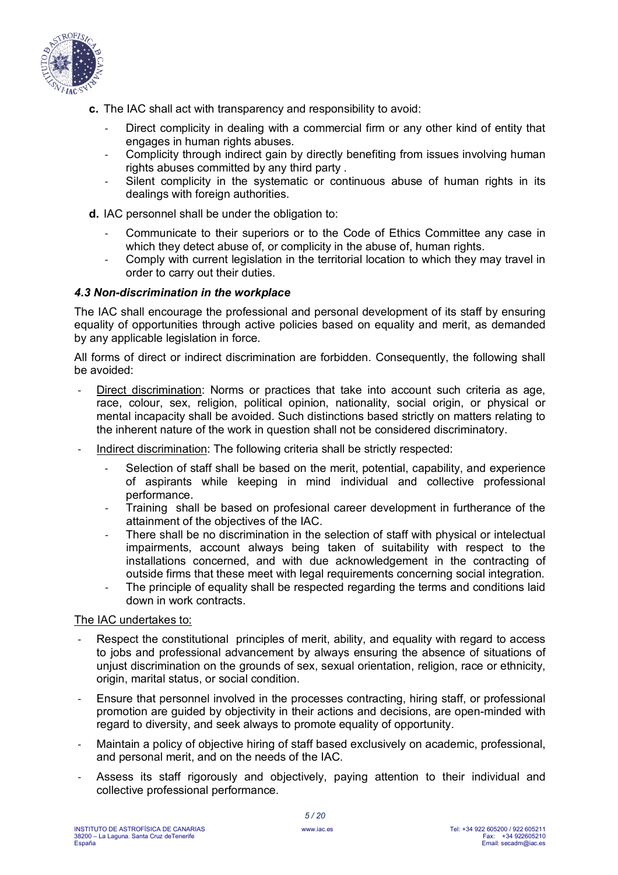

- **c.** The IAC shall act with transparency and responsibility to avoid:
	- Direct complicity in dealing with a commercial firm or any other kind of entity that engages in human rights abuses.
	- Complicity through indirect gain by directly benefiting from issues involving human rights abuses committed by any third party .
	- Silent complicity in the systematic or continuous abuse of human rights in its dealings with foreign authorities.
- **d.** IAC personnel shall be under the obligation to:
	- Communicate to their superiors or to the Code of Ethics Committee any case in which they detect abuse of, or complicity in the abuse of, human rights.
	- Comply with current legislation in the territorial location to which they may travel in order to carry out their duties.

#### *4.3 Non-discrimination in the workplace*

The IAC shall encourage the professional and personal development of its staff by ensuring equality of opportunities through active policies based on equality and merit, as demanded by any applicable legislation in force.

All forms of direct or indirect discrimination are forbidden. Consequently, the following shall be avoided:

- Direct discrimination: Norms or practices that take into account such criteria as age, race, colour, sex, religion, political opinion, nationality, social origin, or physical or mental incapacity shall be avoided. Such distinctions based strictly on matters relating to the inherent nature of the work in question shall not be considered discriminatory.
- Indirect discrimination: The following criteria shall be strictly respected:
	- Selection of staff shall be based on the merit, potential, capability, and experience of aspirants while keeping in mind individual and collective professional performance.
	- Training shall be based on profesional career development in furtherance of the attainment of the objectives of the IAC.
	- There shall be no discrimination in the selection of staff with physical or intelectual impairments, account always being taken of suitability with respect to the installations concerned, and with due acknowledgement in the contracting of outside firms that these meet with legal requirements concerning social integration.
	- The principle of equality shall be respected regarding the terms and conditions laid down in work contracts.

#### The IAC undertakes to:

- Respect the constitutional principles of merit, ability, and equality with regard to access to jobs and professional advancement by always ensuring the absence of situations of unjust discrimination on the grounds of sex, sexual orientation, religion, race or ethnicity, origin, marital status, or social condition.
- Ensure that personnel involved in the processes contracting, hiring staff, or professional promotion are guided by objectivity in their actions and decisions, are open-minded with regard to diversity, and seek always to promote equality of opportunity.
- Maintain a policy of objective hiring of staff based exclusively on academic, professional, and personal merit, and on the needs of the IAC.
- Assess its staff rigorously and objectively, paying attention to their individual and collective professional performance.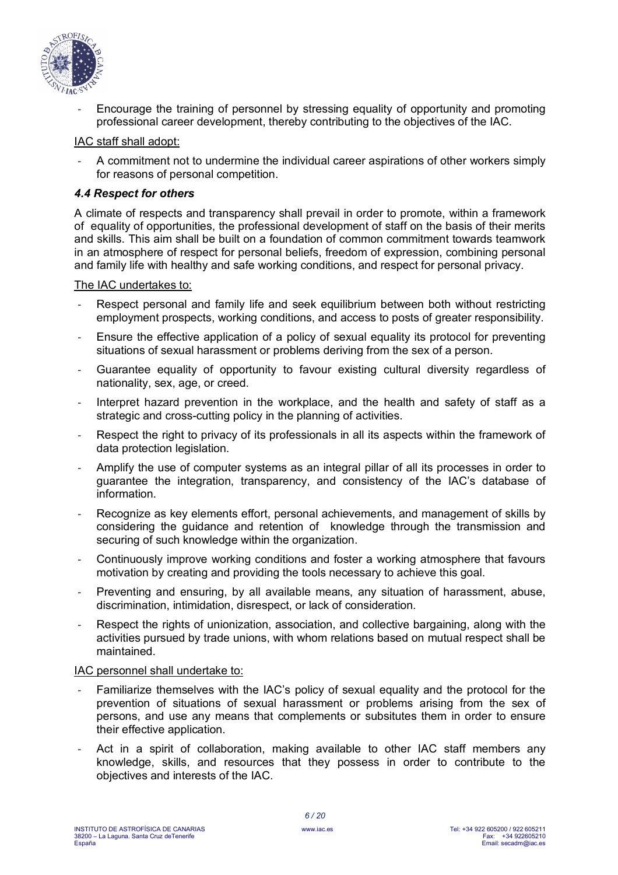

Encourage the training of personnel by stressing equality of opportunity and promoting professional career development, thereby contributing to the objectives of the IAC.

#### IAC staff shall adopt:

- A commitment not to undermine the individual career aspirations of other workers simply for reasons of personal competition.

#### *4.4 Respect for others*

A climate of respects and transparency shall prevail in order to promote, within a framework of equality of opportunities, the professional development of staff on the basis of their merits and skills. This aim shall be built on a foundation of common commitment towards teamwork in an atmosphere of respect for personal beliefs, freedom of expression, combining personal and family life with healthy and safe working conditions, and respect for personal privacy.

#### The IAC undertakes to:

- Respect personal and family life and seek equilibrium between both without restricting employment prospects, working conditions, and access to posts of greater responsibility.
- Ensure the effective application of a policy of sexual equality its protocol for preventing situations of sexual harassment or problems deriving from the sex of a person.
- Guarantee equality of opportunity to favour existing cultural diversity regardless of nationality, sex, age, or creed.
- Interpret hazard prevention in the workplace, and the health and safety of staff as a strategic and cross-cutting policy in the planning of activities.
- Respect the right to privacy of its professionals in all its aspects within the framework of data protection legislation.
- Amplify the use of computer systems as an integral pillar of all its processes in order to guarantee the integration, transparency, and consistency of the IAC's database of information.
- Recognize as key elements effort, personal achievements, and management of skills by considering the guidance and retention of knowledge through the transmission and securing of such knowledge within the organization.
- Continuously improve working conditions and foster a working atmosphere that favours motivation by creating and providing the tools necessary to achieve this goal.
- Preventing and ensuring, by all available means, any situation of harassment, abuse, discrimination, intimidation, disrespect, or lack of consideration.
- Respect the rights of unionization, association, and collective bargaining, along with the activities pursued by trade unions, with whom relations based on mutual respect shall be maintained.

#### IAC personnel shall undertake to:

- Familiarize themselves with the IAC's policy of sexual equality and the protocol for the prevention of situations of sexual harassment or problems arising from the sex of persons, and use any means that complements or subsitutes them in order to ensure their effective application.
- Act in a spirit of collaboration, making available to other IAC staff members any knowledge, skills, and resources that they possess in order to contribute to the objectives and interests of the IAC.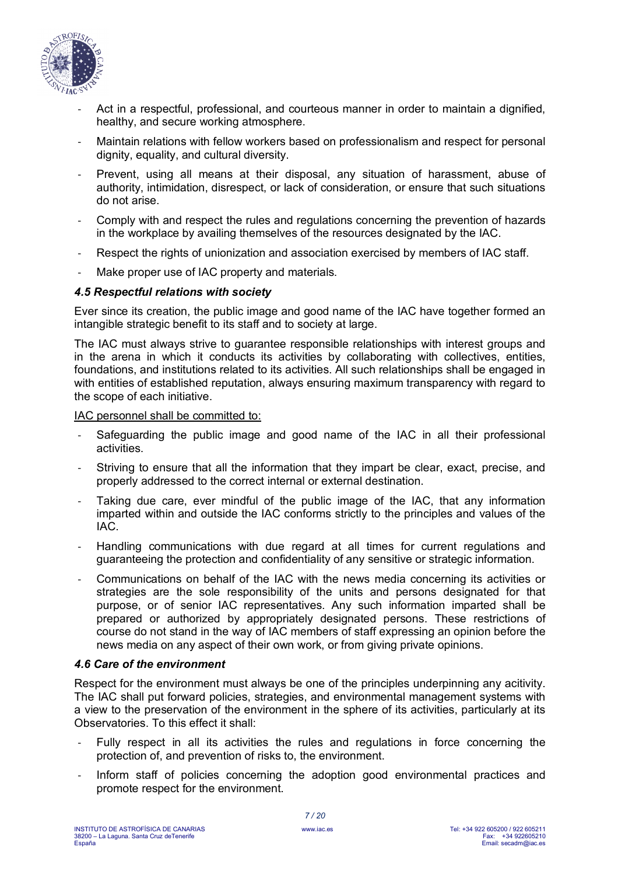

- Act in a respectful, professional, and courteous manner in order to maintain a dignified, healthy, and secure working atmosphere.
- Maintain relations with fellow workers based on professionalism and respect for personal dignity, equality, and cultural diversity.
- Prevent, using all means at their disposal, any situation of harassment, abuse of authority, intimidation, disrespect, or lack of consideration, or ensure that such situations do not arise.
- Comply with and respect the rules and regulations concerning the prevention of hazards in the workplace by availing themselves of the resources designated by the IAC.
- Respect the rights of unionization and association exercised by members of IAC staff.
- Make proper use of IAC property and materials.

#### *4.5 Respectful relations with society*

Ever since its creation, the public image and good name of the IAC have together formed an intangible strategic benefit to its staff and to society at large.

The IAC must always strive to guarantee responsible relationships with interest groups and in the arena in which it conducts its activities by collaborating with collectives, entities, foundations, and institutions related to its activities. All such relationships shall be engaged in with entities of established reputation, always ensuring maximum transparency with regard to the scope of each initiative.

IAC personnel shall be committed to:

- Safeguarding the public image and good name of the IAC in all their professional activities.
- Striving to ensure that all the information that they impart be clear, exact, precise, and properly addressed to the correct internal or external destination.
- Taking due care, ever mindful of the public image of the IAC, that any information imparted within and outside the IAC conforms strictly to the principles and values of the IAC.
- Handling communications with due regard at all times for current regulations and guaranteeing the protection and confidentiality of any sensitive or strategic information.
- Communications on behalf of the IAC with the news media concerning its activities or strategies are the sole responsibility of the units and persons designated for that purpose, or of senior IAC representatives. Any such information imparted shall be prepared or authorized by appropriately designated persons. These restrictions of course do not stand in the way of IAC members of staff expressing an opinion before the news media on any aspect of their own work, or from giving private opinions.

#### *4.6 Care of the environment*

Respect for the environment must always be one of the principles underpinning any acitivity. The IAC shall put forward policies, strategies, and environmental management systems with a view to the preservation of the environment in the sphere of its activities, particularly at its Observatories. To this effect it shall:

- Fully respect in all its activities the rules and regulations in force concerning the protection of, and prevention of risks to, the environment.
- Inform staff of policies concerning the adoption good environmental practices and promote respect for the environment.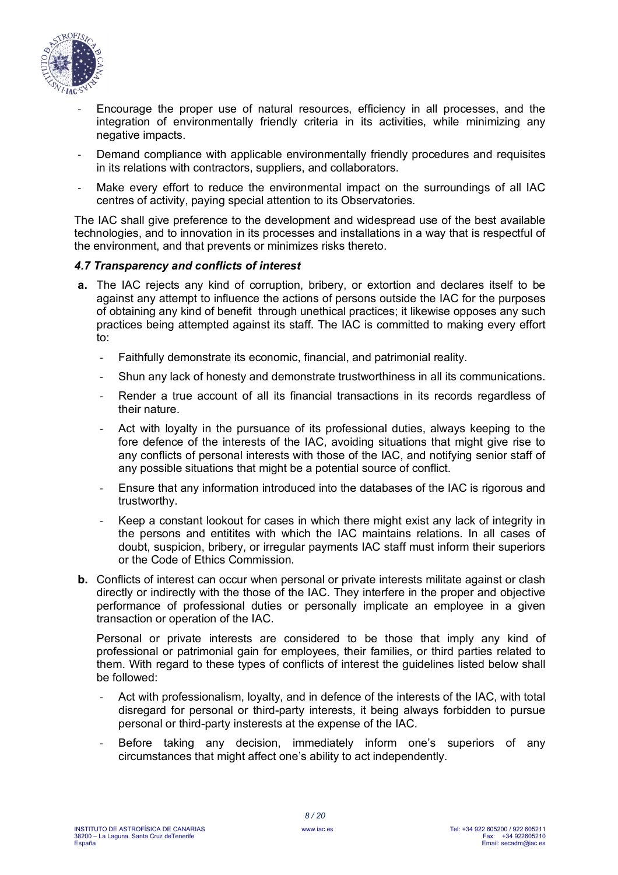

- Encourage the proper use of natural resources, efficiency in all processes, and the integration of environmentally friendly criteria in its activities, while minimizing any negative impacts.
- Demand compliance with applicable environmentally friendly procedures and requisites in its relations with contractors, suppliers, and collaborators.
- Make every effort to reduce the environmental impact on the surroundings of all IAC centres of activity, paying special attention to its Observatories.

The IAC shall give preference to the development and widespread use of the best available technologies, and to innovation in its processes and installations in a way that is respectful of the environment, and that prevents or minimizes risks thereto.

# *4.7 Transparency and conflicts of interest*

- **a.** The IAC rejects any kind of corruption, bribery, or extortion and declares itself to be against any attempt to influence the actions of persons outside the IAC for the purposes of obtaining any kind of benefit through unethical practices; it likewise opposes any such practices being attempted against its staff. The IAC is committed to making every effort to:
	- Faithfully demonstrate its economic, financial, and patrimonial reality.
	- Shun any lack of honesty and demonstrate trustworthiness in all its communications.
	- Render a true account of all its financial transactions in its records regardless of their nature.
	- Act with loyalty in the pursuance of its professional duties, always keeping to the fore defence of the interests of the IAC, avoiding situations that might give rise to any conflicts of personal interests with those of the IAC, and notifying senior staff of any possible situations that might be a potential source of conflict.
	- Ensure that any information introduced into the databases of the IAC is rigorous and trustworthy.
	- Keep a constant lookout for cases in which there might exist any lack of integrity in the persons and entitites with which the IAC maintains relations. In all cases of doubt, suspicion, bribery, or irregular payments IAC staff must inform their superiors or the Code of Ethics Commission.
- **b.** Conflicts of interest can occur when personal or private interests militate against or clash directly or indirectly with the those of the IAC. They interfere in the proper and objective performance of professional duties or personally implicate an employee in a given transaction or operation of the IAC.

Personal or private interests are considered to be those that imply any kind of professional or patrimonial gain for employees, their families, or third parties related to them. With regard to these types of conflicts of interest the guidelines listed below shall be followed:

- Act with professionalism, loyalty, and in defence of the interests of the IAC, with total disregard for personal or third-party interests, it being always forbidden to pursue personal or third-party insterests at the expense of the IAC.
- Before taking any decision, immediately inform one's superiors of any circumstances that might affect one's ability to act independently.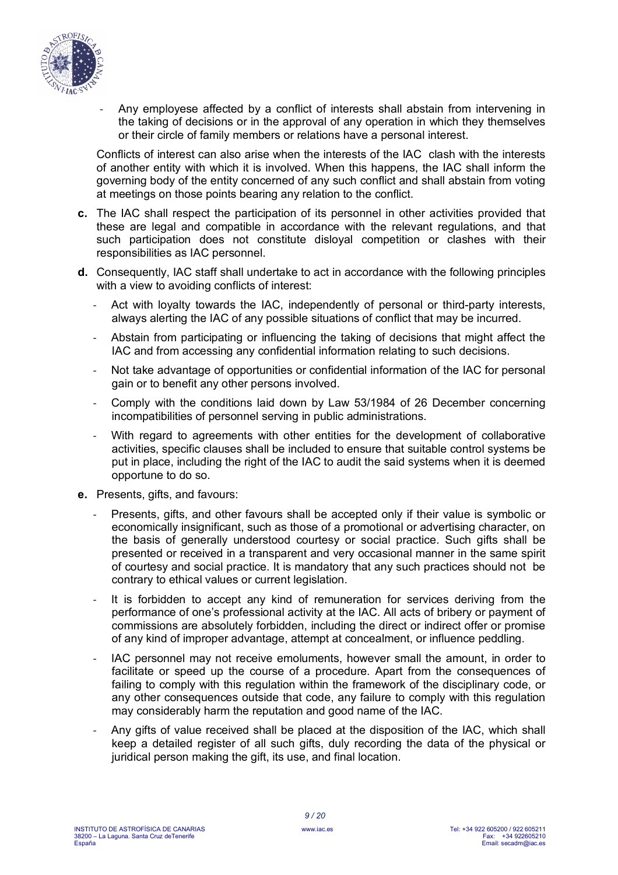

- Any employese affected by a conflict of interests shall abstain from intervening in the taking of decisions or in the approval of any operation in which they themselves or their circle of family members or relations have a personal interest.

Conflicts of interest can also arise when the interests of the IAC clash with the interests of another entity with which it is involved. When this happens, the IAC shall inform the governing body of the entity concerned of any such conflict and shall abstain from voting at meetings on those points bearing any relation to the conflict.

- **c.** The IAC shall respect the participation of its personnel in other activities provided that these are legal and compatible in accordance with the relevant regulations, and that such participation does not constitute disloyal competition or clashes with their responsibilities as IAC personnel.
- **d.** Consequently, IAC staff shall undertake to act in accordance with the following principles with a view to avoiding conflicts of interest:
	- Act with loyalty towards the IAC, independently of personal or third-party interests, always alerting the IAC of any possible situations of conflict that may be incurred.
	- Abstain from participating or influencing the taking of decisions that might affect the IAC and from accessing any confidential information relating to such decisions.
	- Not take advantage of opportunities or confidential information of the IAC for personal gain or to benefit any other persons involved.
	- Comply with the conditions laid down by Law 53/1984 of 26 December concerning incompatibilities of personnel serving in public administrations.
	- With regard to agreements with other entities for the development of collaborative activities, specific clauses shall be included to ensure that suitable control systems be put in place, including the right of the IAC to audit the said systems when it is deemed opportune to do so.
- **e.** Presents, gifts, and favours:
	- Presents, gifts, and other favours shall be accepted only if their value is symbolic or economically insignificant, such as those of a promotional or advertising character, on the basis of generally understood courtesy or social practice. Such gifts shall be presented or received in a transparent and very occasional manner in the same spirit of courtesy and social practice. It is mandatory that any such practices should not be contrary to ethical values or current legislation.
	- It is forbidden to accept any kind of remuneration for services deriving from the performance of one's professional activity at the IAC. All acts of bribery or payment of commissions are absolutely forbidden, including the direct or indirect offer or promise of any kind of improper advantage, attempt at concealment, or influence peddling.
	- IAC personnel may not receive emoluments, however small the amount, in order to facilitate or speed up the course of a procedure. Apart from the consequences of failing to comply with this regulation within the framework of the disciplinary code, or any other consequences outside that code, any failure to comply with this regulation may considerably harm the reputation and good name of the IAC.
	- Any gifts of value received shall be placed at the disposition of the IAC, which shall keep a detailed register of all such gifts, duly recording the data of the physical or juridical person making the gift, its use, and final location.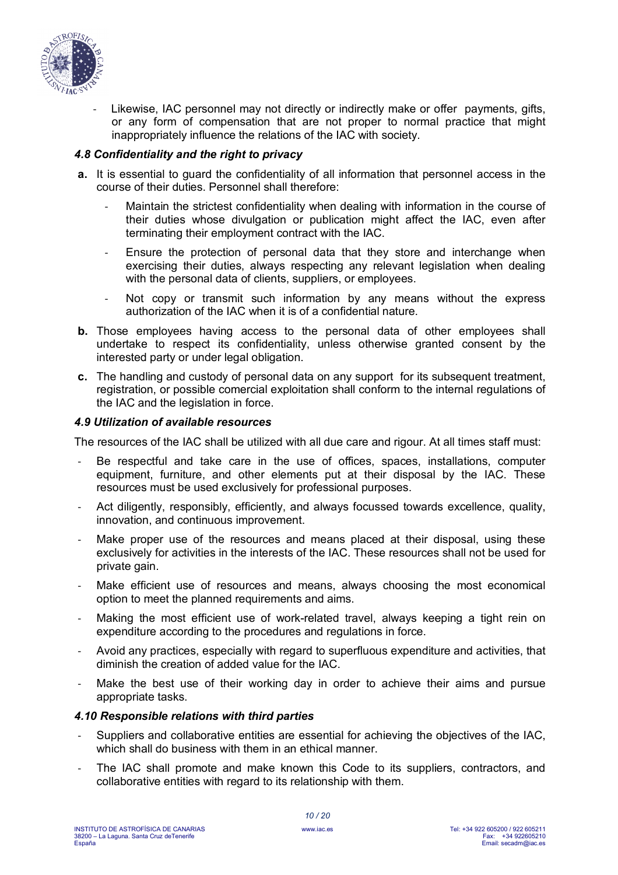

Likewise, IAC personnel may not directly or indirectly make or offer payments, gifts, or any form of compensation that are not proper to normal practice that might inappropriately influence the relations of the IAC with society.

# *4.8 Confidentiality and the right to privacy*

- **a.** It is essential to guard the confidentiality of all information that personnel access in the course of their duties. Personnel shall therefore:
	- Maintain the strictest confidentiality when dealing with information in the course of their duties whose divulgation or publication might affect the IAC, even after terminating their employment contract with the IAC.
	- Ensure the protection of personal data that they store and interchange when exercising their duties, always respecting any relevant legislation when dealing with the personal data of clients, suppliers, or employees.
	- Not copy or transmit such information by any means without the express authorization of the IAC when it is of a confidential nature.
- **b.** Those employees having access to the personal data of other employees shall undertake to respect its confidentiality, unless otherwise granted consent by the interested party or under legal obligation.
- **c.** The handling and custody of personal data on any support for its subsequent treatment, registration, or possible comercial exploitation shall conform to the internal regulations of the IAC and the legislation in force.

#### *4.9 Utilization of available resources*

The resources of the IAC shall be utilized with all due care and rigour. At all times staff must:

- Be respectful and take care in the use of offices, spaces, installations, computer equipment, furniture, and other elements put at their disposal by the IAC. These resources must be used exclusively for professional purposes.
- Act diligently, responsibly, efficiently, and always focussed towards excellence, quality, innovation, and continuous improvement.
- Make proper use of the resources and means placed at their disposal, using these exclusively for activities in the interests of the IAC. These resources shall not be used for private gain.
- Make efficient use of resources and means, always choosing the most economical option to meet the planned requirements and aims.
- Making the most efficient use of work-related travel, always keeping a tight rein on expenditure according to the procedures and regulations in force.
- Avoid any practices, especially with regard to superfluous expenditure and activities, that diminish the creation of added value for the IAC.
- Make the best use of their working day in order to achieve their aims and pursue appropriate tasks.

#### *4.10 Responsible relations with third parties*

- Suppliers and collaborative entities are essential for achieving the objectives of the IAC, which shall do business with them in an ethical manner.
- The IAC shall promote and make known this Code to its suppliers, contractors, and collaborative entities with regard to its relationship with them.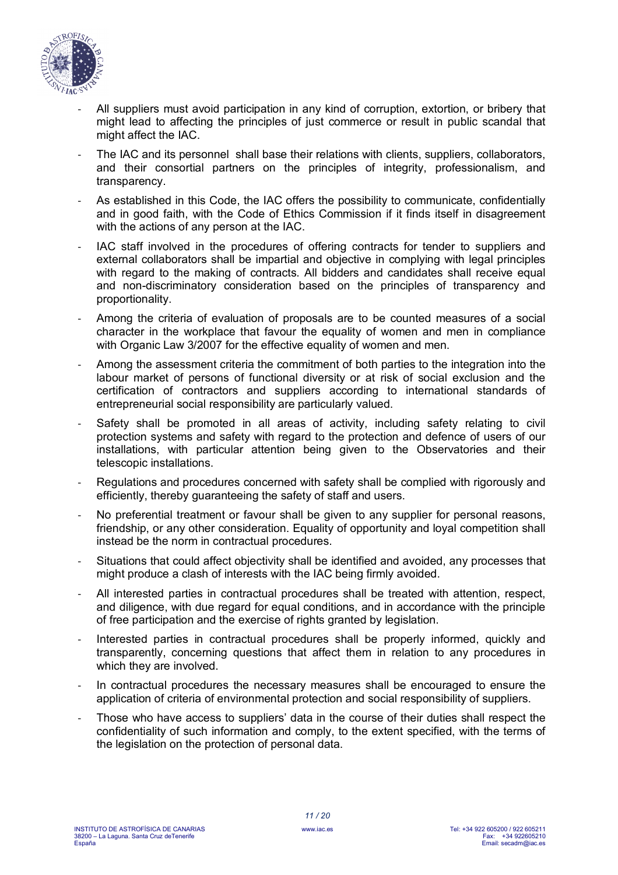

- All suppliers must avoid participation in any kind of corruption, extortion, or bribery that might lead to affecting the principles of just commerce or result in public scandal that might affect the IAC.
- The IAC and its personnel shall base their relations with clients, suppliers, collaborators, and their consortial partners on the principles of integrity, professionalism, and transparency.
- As established in this Code, the IAC offers the possibility to communicate, confidentially and in good faith, with the Code of Ethics Commission if it finds itself in disagreement with the actions of any person at the IAC.
- IAC staff involved in the procedures of offering contracts for tender to suppliers and external collaborators shall be impartial and objective in complying with legal principles with regard to the making of contracts. All bidders and candidates shall receive equal and non-discriminatory consideration based on the principles of transparency and proportionality.
- Among the criteria of evaluation of proposals are to be counted measures of a social character in the workplace that favour the equality of women and men in compliance with Organic Law 3/2007 for the effective equality of women and men.
- Among the assessment criteria the commitment of both parties to the integration into the labour market of persons of functional diversity or at risk of social exclusion and the certification of contractors and suppliers according to international standards of entrepreneurial social responsibility are particularly valued.
- Safety shall be promoted in all areas of activity, including safety relating to civil protection systems and safety with regard to the protection and defence of users of our installations, with particular attention being given to the Observatories and their telescopic installations.
- Regulations and procedures concerned with safety shall be complied with rigorously and efficiently, thereby guaranteeing the safety of staff and users.
- No preferential treatment or favour shall be given to any supplier for personal reasons, friendship, or any other consideration. Equality of opportunity and loyal competition shall instead be the norm in contractual procedures.
- Situations that could affect objectivity shall be identified and avoided, any processes that might produce a clash of interests with the IAC being firmly avoided.
- All interested parties in contractual procedures shall be treated with attention, respect, and diligence, with due regard for equal conditions, and in accordance with the principle of free participation and the exercise of rights granted by legislation.
- Interested parties in contractual procedures shall be properly informed, quickly and transparently, concerning questions that affect them in relation to any procedures in which they are involved.
- In contractual procedures the necessary measures shall be encouraged to ensure the application of criteria of environmental protection and social responsibility of suppliers.
- Those who have access to suppliers' data in the course of their duties shall respect the confidentiality of such information and comply, to the extent specified, with the terms of the legislation on the protection of personal data.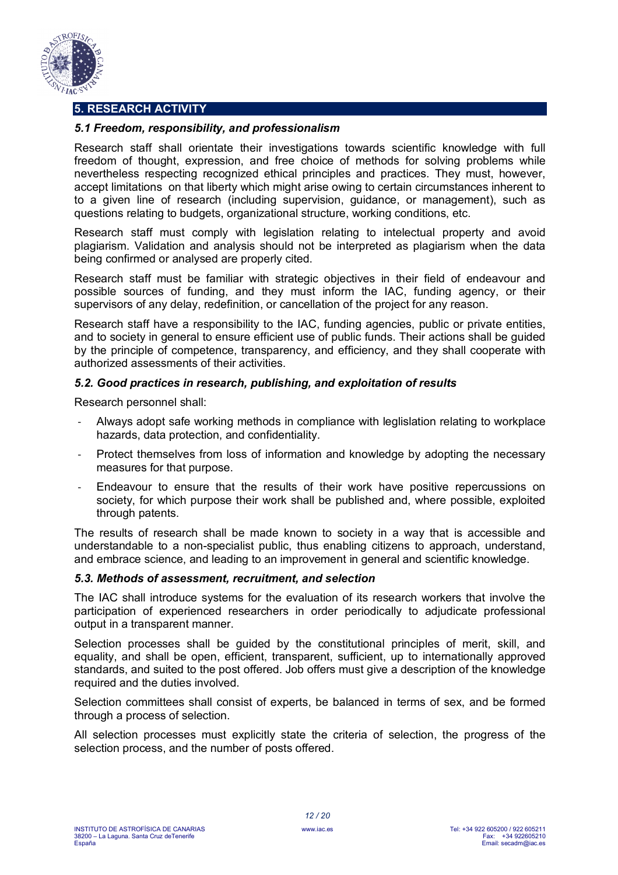

# **5. RESEARCH ACTIVITY**

# *5.1 Freedom, responsibility, and professionalism*

Research staff shall orientate their investigations towards scientific knowledge with full freedom of thought, expression, and free choice of methods for solving problems while nevertheless respecting recognized ethical principles and practices. They must, however, accept limitations on that liberty which might arise owing to certain circumstances inherent to to a given line of research (including supervision, guidance, or management), such as questions relating to budgets, organizational structure, working conditions, etc.

Research staff must comply with legislation relating to intelectual property and avoid plagiarism. Validation and analysis should not be interpreted as plagiarism when the data being confirmed or analysed are properly cited.

Research staff must be familiar with strategic objectives in their field of endeavour and possible sources of funding, and they must inform the IAC, funding agency, or their supervisors of any delay, redefinition, or cancellation of the project for any reason.

Research staff have a responsibility to the IAC, funding agencies, public or private entities, and to society in general to ensure efficient use of public funds. Their actions shall be guided by the principle of competence, transparency, and efficiency, and they shall cooperate with authorized assessments of their activities.

# *5.2. Good practices in research, publishing, and exploitation of results*

Research personnel shall:

- Always adopt safe working methods in compliance with leglislation relating to workplace hazards, data protection, and confidentiality.
- Protect themselves from loss of information and knowledge by adopting the necessary measures for that purpose.
- Endeavour to ensure that the results of their work have positive repercussions on society, for which purpose their work shall be published and, where possible, exploited through patents.

The results of research shall be made known to society in a way that is accessible and understandable to a non-specialist public, thus enabling citizens to approach, understand, and embrace science, and leading to an improvement in general and scientific knowledge.

# *5.3. Methods of assessment, recruitment, and selection*

The IAC shall introduce systems for the evaluation of its research workers that involve the participation of experienced researchers in order periodically to adjudicate professional output in a transparent manner.

Selection processes shall be guided by the constitutional principles of merit, skill, and equality, and shall be open, efficient, transparent, sufficient, up to internationally approved standards, and suited to the post offered. Job offers must give a description of the knowledge required and the duties involved.

Selection committees shall consist of experts, be balanced in terms of sex, and be formed through a process of selection.

All selection processes must explicitly state the criteria of selection, the progress of the selection process, and the number of posts offered.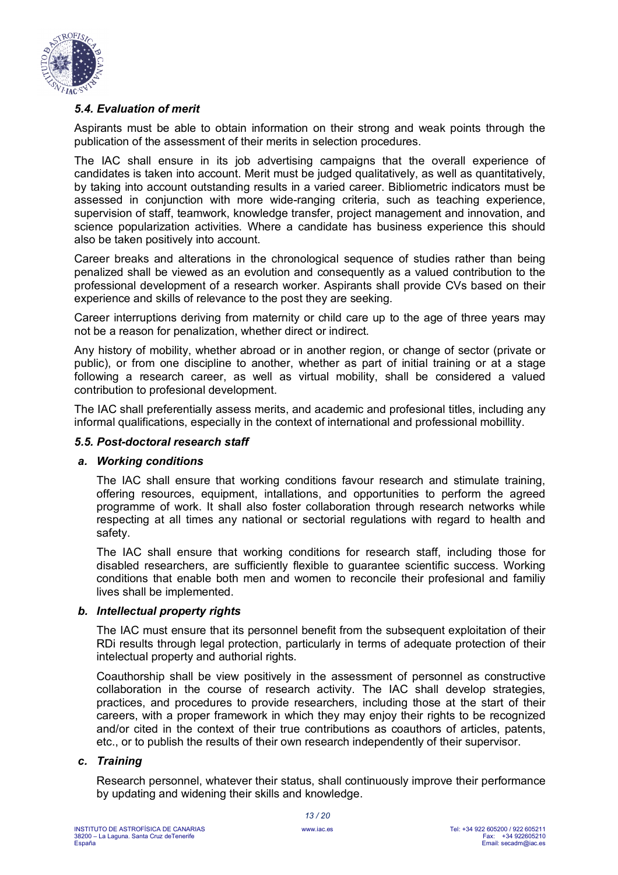

# *5.4. Evaluation of merit*

Aspirants must be able to obtain information on their strong and weak points through the publication of the assessment of their merits in selection procedures.

The IAC shall ensure in its job advertising campaigns that the overall experience of candidates is taken into account. Merit must be judged qualitatively, as well as quantitatively, by taking into account outstanding results in a varied career. Bibliometric indicators must be assessed in conjunction with more wide-ranging criteria, such as teaching experience, supervision of staff, teamwork, knowledge transfer, project management and innovation, and science popularization activities. Where a candidate has business experience this should also be taken positively into account.

Career breaks and alterations in the chronological sequence of studies rather than being penalized shall be viewed as an evolution and consequently as a valued contribution to the professional development of a research worker. Aspirants shall provide CVs based on their experience and skills of relevance to the post they are seeking.

Career interruptions deriving from maternity or child care up to the age of three years may not be a reason for penalization, whether direct or indirect.

Any history of mobility, whether abroad or in another region, or change of sector (private or public), or from one discipline to another, whether as part of initial training or at a stage following a research career, as well as virtual mobility, shall be considered a valued contribution to profesional development.

The IAC shall preferentially assess merits, and academic and profesional titles, including any informal qualifications, especially in the context of international and professional mobillity.

#### *5.5. Post-doctoral research staff*

# *a. Working conditions*

The IAC shall ensure that working conditions favour research and stimulate training, offering resources, equipment, intallations, and opportunities to perform the agreed programme of work. It shall also foster collaboration through research networks while respecting at all times any national or sectorial regulations with regard to health and safety.

The IAC shall ensure that working conditions for research staff, including those for disabled researchers, are sufficiently flexible to guarantee scientific success. Working conditions that enable both men and women to reconcile their profesional and familiy lives shall be implemented.

#### *b. Intellectual property rights*

The IAC must ensure that its personnel benefit from the subsequent exploitation of their RDi results through legal protection, particularly in terms of adequate protection of their intelectual property and authorial rights.

Coauthorship shall be view positively in the assessment of personnel as constructive collaboration in the course of research activity. The IAC shall develop strategies, practices, and procedures to provide researchers, including those at the start of their careers, with a proper framework in which they may enjoy their rights to be recognized and/or cited in the context of their true contributions as coauthors of articles, patents, etc., or to publish the results of their own research independently of their supervisor.

#### *c. Training*

Research personnel, whatever their status, shall continuously improve their performance by updating and widening their skills and knowledge.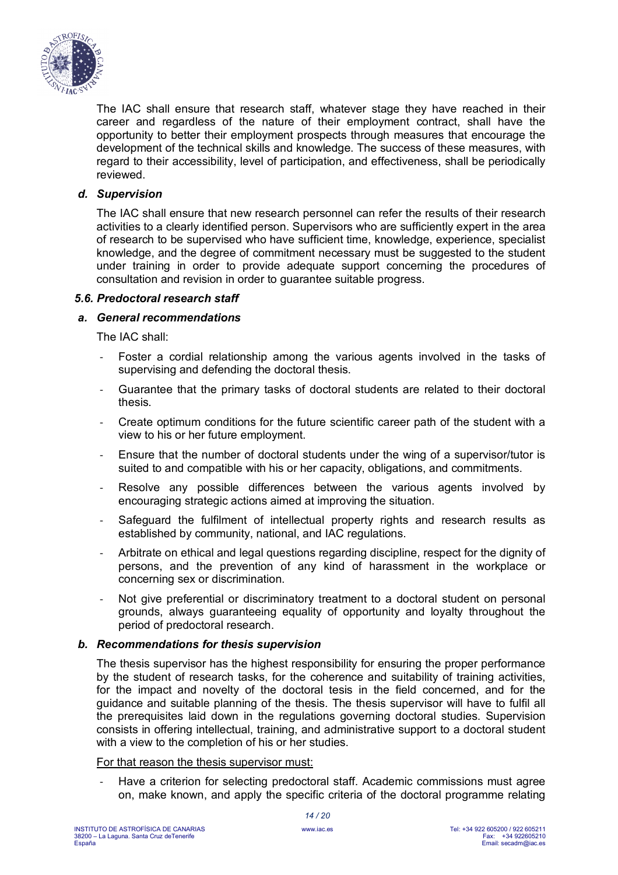

The IAC shall ensure that research staff, whatever stage they have reached in their career and regardless of the nature of their employment contract, shall have the opportunity to better their employment prospects through measures that encourage the development of the technical skills and knowledge. The success of these measures, with regard to their accessibility, level of participation, and effectiveness, shall be periodically reviewed.

# *d. Supervision*

The IAC shall ensure that new research personnel can refer the results of their research activities to a clearly identified person. Supervisors who are sufficiently expert in the area of research to be supervised who have sufficient time, knowledge, experience, specialist knowledge, and the degree of commitment necessary must be suggested to the student under training in order to provide adequate support concerning the procedures of consultation and revision in order to guarantee suitable progress.

#### *5.6. Predoctoral research staff*

# *a. General recommendations*

The IAC shall:

- Foster a cordial relationship among the various agents involved in the tasks of supervising and defending the doctoral thesis.
- Guarantee that the primary tasks of doctoral students are related to their doctoral thesis.
- Create optimum conditions for the future scientific career path of the student with a view to his or her future employment.
- Ensure that the number of doctoral students under the wing of a supervisor/tutor is suited to and compatible with his or her capacity, obligations, and commitments.
- Resolve any possible differences between the various agents involved by encouraging strategic actions aimed at improving the situation.
- Safeguard the fulfilment of intellectual property rights and research results as established by community, national, and IAC regulations.
- Arbitrate on ethical and legal questions regarding discipline, respect for the dignity of persons, and the prevention of any kind of harassment in the workplace or concerning sex or discrimination.
- Not give preferential or discriminatory treatment to a doctoral student on personal grounds, always guaranteeing equality of opportunity and loyalty throughout the period of predoctoral research.

#### *b. Recommendations for thesis supervision*

The thesis supervisor has the highest responsibility for ensuring the proper performance by the student of research tasks, for the coherence and suitability of training activities, for the impact and novelty of the doctoral tesis in the field concerned, and for the guidance and suitable planning of the thesis. The thesis supervisor will have to fulfil all the prerequisites laid down in the regulations governing doctoral studies. Supervision consists in offering intellectual, training, and administrative support to a doctoral student with a view to the completion of his or her studies.

#### For that reason the thesis supervisor must:

- Have a criterion for selecting predoctoral staff. Academic commissions must agree on, make known, and apply the specific criteria of the doctoral programme relating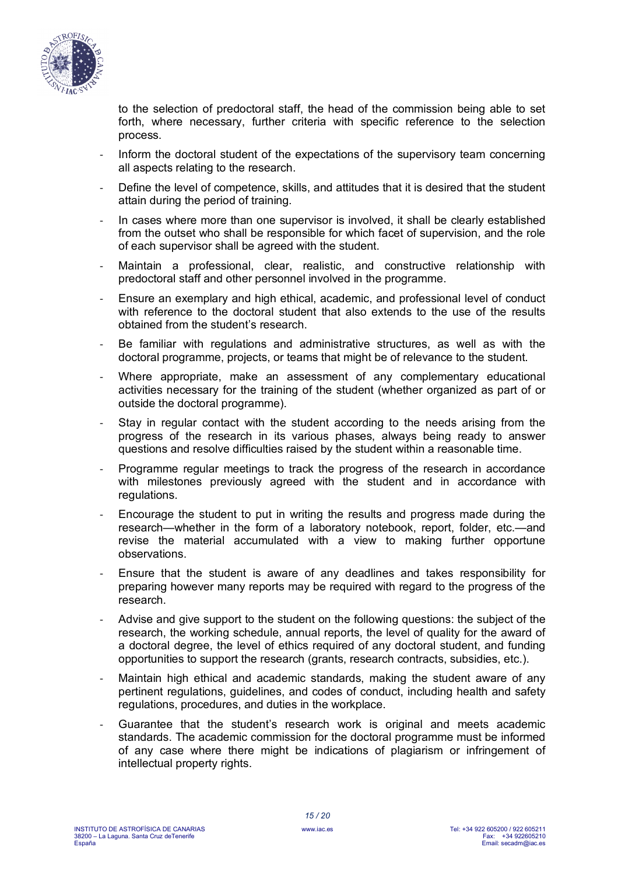

to the selection of predoctoral staff, the head of the commission being able to set forth, where necessary, further criteria with specific reference to the selection process.

- Inform the doctoral student of the expectations of the supervisory team concerning all aspects relating to the research.
- Define the level of competence, skills, and attitudes that it is desired that the student attain during the period of training.
- In cases where more than one supervisor is involved, it shall be clearly established from the outset who shall be responsible for which facet of supervision, and the role of each supervisor shall be agreed with the student.
- Maintain a professional, clear, realistic, and constructive relationship with predoctoral staff and other personnel involved in the programme.
- Ensure an exemplary and high ethical, academic, and professional level of conduct with reference to the doctoral student that also extends to the use of the results obtained from the student's research.
- Be familiar with regulations and administrative structures, as well as with the doctoral programme, projects, or teams that might be of relevance to the student.
- Where appropriate, make an assessment of any complementary educational activities necessary for the training of the student (whether organized as part of or outside the doctoral programme).
- Stay in regular contact with the student according to the needs arising from the progress of the research in its various phases, always being ready to answer questions and resolve difficulties raised by the student within a reasonable time.
- Programme regular meetings to track the progress of the research in accordance with milestones previously agreed with the student and in accordance with regulations.
- Encourage the student to put in writing the results and progress made during the research—whether in the form of a laboratory notebook, report, folder, etc.—and revise the material accumulated with a view to making further opportune observations.
- Ensure that the student is aware of any deadlines and takes responsibility for preparing however many reports may be required with regard to the progress of the research.
- Advise and give support to the student on the following questions: the subject of the research, the working schedule, annual reports, the level of quality for the award of a doctoral degree, the level of ethics required of any doctoral student, and funding opportunities to support the research (grants, research contracts, subsidies, etc.).
- Maintain high ethical and academic standards, making the student aware of any pertinent regulations, guidelines, and codes of conduct, including health and safety regulations, procedures, and duties in the workplace.
- Guarantee that the student's research work is original and meets academic standards. The academic commission for the doctoral programme must be informed of any case where there might be indications of plagiarism or infringement of intellectual property rights.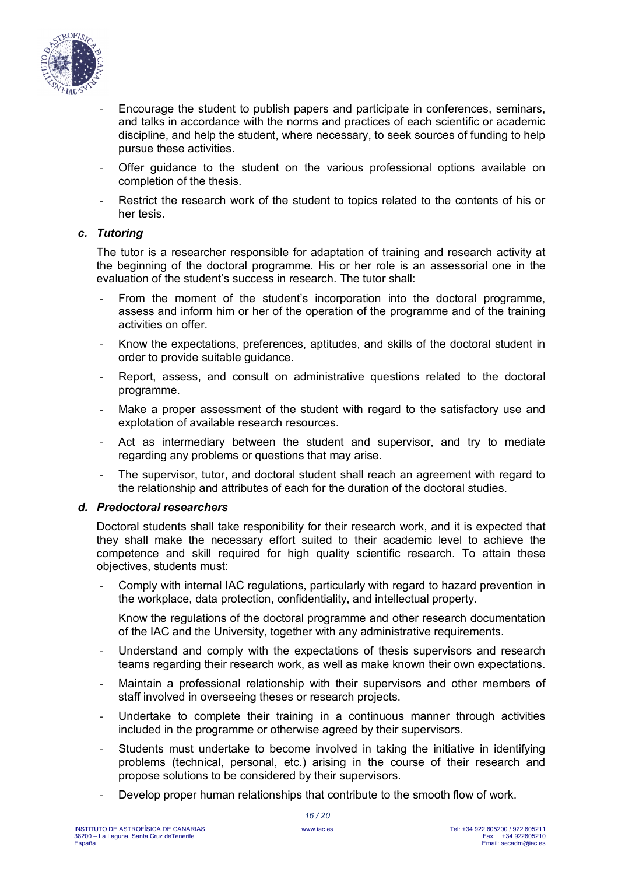

- Encourage the student to publish papers and participate in conferences, seminars, and talks in accordance with the norms and practices of each scientific or academic discipline, and help the student, where necessary, to seek sources of funding to help pursue these activities.
- Offer guidance to the student on the various professional options available on completion of the thesis.
- Restrict the research work of the student to topics related to the contents of his or her tesis.

#### *c. Tutoring*

The tutor is a researcher responsible for adaptation of training and research activity at the beginning of the doctoral programme. His or her role is an assessorial one in the evaluation of the student's success in research. The tutor shall:

- From the moment of the student's incorporation into the doctoral programme, assess and inform him or her of the operation of the programme and of the training activities on offer.
- Know the expectations, preferences, aptitudes, and skills of the doctoral student in order to provide suitable guidance.
- Report, assess, and consult on administrative questions related to the doctoral programme.
- Make a proper assessment of the student with regard to the satisfactory use and explotation of available research resources.
- Act as intermediary between the student and supervisor, and try to mediate regarding any problems or questions that may arise.
- The supervisor, tutor, and doctoral student shall reach an agreement with regard to the relationship and attributes of each for the duration of the doctoral studies.

#### *d. Predoctoral researchers*

Doctoral students shall take responibility for their research work, and it is expected that they shall make the necessary effort suited to their academic level to achieve the competence and skill required for high quality scientific research. To attain these objectives, students must:

Comply with internal IAC regulations, particularly with regard to hazard prevention in the workplace, data protection, confidentiality, and intellectual property.

Know the regulations of the doctoral programme and other research documentation of the IAC and the University, together with any administrative requirements.

- Understand and comply with the expectations of thesis supervisors and research teams regarding their research work, as well as make known their own expectations.
- Maintain a professional relationship with their supervisors and other members of staff involved in overseeing theses or research projects.
- Undertake to complete their training in a continuous manner through activities included in the programme or otherwise agreed by their supervisors.
- Students must undertake to become involved in taking the initiative in identifying problems (technical, personal, etc.) arising in the course of their research and propose solutions to be considered by their supervisors.
- Develop proper human relationships that contribute to the smooth flow of work.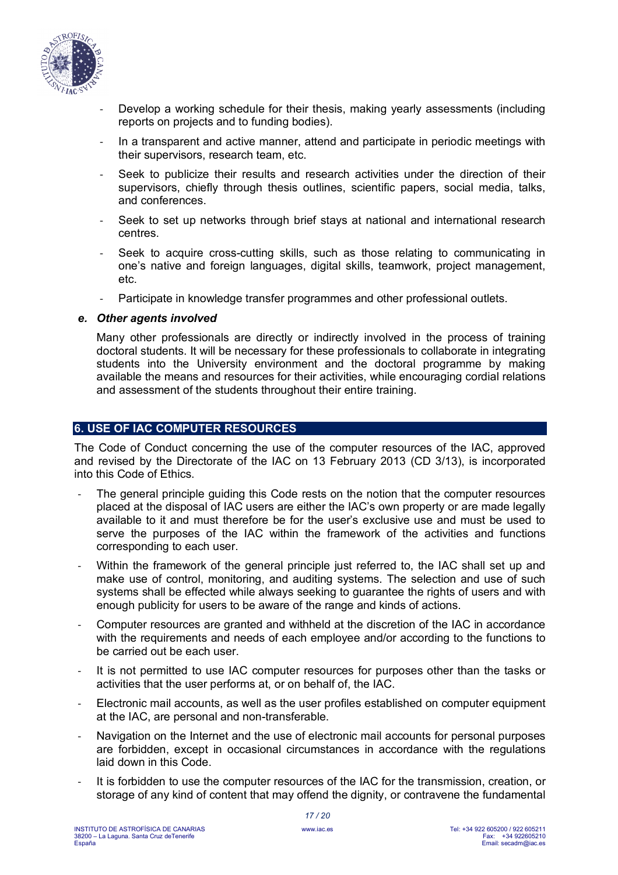

- Develop a working schedule for their thesis, making yearly assessments (including reports on projects and to funding bodies).
- In a transparent and active manner, attend and participate in periodic meetings with their supervisors, research team, etc.
- Seek to publicize their results and research activities under the direction of their supervisors, chiefly through thesis outlines, scientific papers, social media, talks, and conferences.
- Seek to set up networks through brief stays at national and international research centres.
- Seek to acquire cross-cutting skills, such as those relating to communicating in one's native and foreign languages, digital skills, teamwork, project management, etc.
- Participate in knowledge transfer programmes and other professional outlets.

#### *e. Other agents involved*

Many other professionals are directly or indirectly involved in the process of training doctoral students. It will be necessary for these professionals to collaborate in integrating students into the University environment and the doctoral programme by making available the means and resources for their activities, while encouraging cordial relations and assessment of the students throughout their entire training.

# **6. USE OF IAC COMPUTER RESOURCES**

The Code of Conduct concerning the use of the computer resources of the IAC, approved and revised by the Directorate of the IAC on 13 February 2013 (CD 3/13), is incorporated into this Code of Ethics.

- The general principle guiding this Code rests on the notion that the computer resources placed at the disposal of IAC users are either the IAC's own property or are made legally available to it and must therefore be for the user's exclusive use and must be used to serve the purposes of the IAC within the framework of the activities and functions corresponding to each user.
- Within the framework of the general principle just referred to, the IAC shall set up and make use of control, monitoring, and auditing systems. The selection and use of such systems shall be effected while always seeking to guarantee the rights of users and with enough publicity for users to be aware of the range and kinds of actions.
- Computer resources are granted and withheld at the discretion of the IAC in accordance with the requirements and needs of each employee and/or according to the functions to be carried out be each user.
- It is not permitted to use IAC computer resources for purposes other than the tasks or activities that the user performs at, or on behalf of, the IAC.
- Electronic mail accounts, as well as the user profiles established on computer equipment at the IAC, are personal and non-transferable.
- Navigation on the Internet and the use of electronic mail accounts for personal purposes are forbidden, except in occasional circumstances in accordance with the regulations laid down in this Code.
- It is forbidden to use the computer resources of the IAC for the transmission, creation, or storage of any kind of content that may offend the dignity, or contravene the fundamental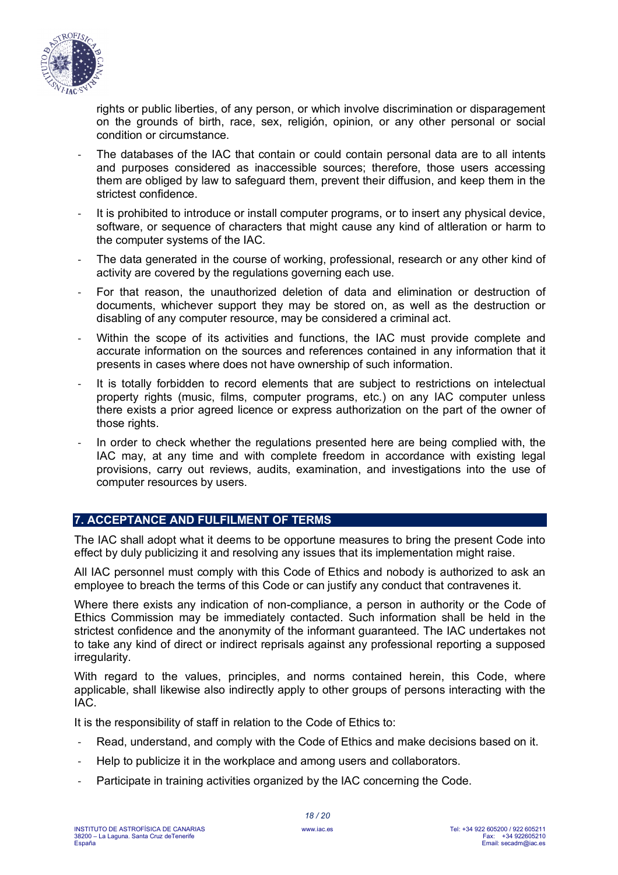

rights or public liberties, of any person, or which involve discrimination or disparagement on the grounds of birth, race, sex, religión, opinion, or any other personal or social condition or circumstance.

- The databases of the IAC that contain or could contain personal data are to all intents and purposes considered as inaccessible sources; therefore, those users accessing them are obliged by law to safeguard them, prevent their diffusion, and keep them in the strictest confidence.
- It is prohibited to introduce or install computer programs, or to insert any physical device, software, or sequence of characters that might cause any kind of altleration or harm to the computer systems of the IAC.
- The data generated in the course of working, professional, research or any other kind of activity are covered by the regulations governing each use.
- For that reason, the unauthorized deletion of data and elimination or destruction of documents, whichever support they may be stored on, as well as the destruction or disabling of any computer resource, may be considered a criminal act.
- Within the scope of its activities and functions, the IAC must provide complete and accurate information on the sources and references contained in any information that it presents in cases where does not have ownership of such information.
- It is totally forbidden to record elements that are subject to restrictions on intelectual property rights (music, films, computer programs, etc.) on any IAC computer unless there exists a prior agreed licence or express authorization on the part of the owner of those rights.
- In order to check whether the regulations presented here are being complied with, the IAC may, at any time and with complete freedom in accordance with existing legal provisions, carry out reviews, audits, examination, and investigations into the use of computer resources by users.

# **7. ACCEPTANCE AND FULFILMENT OF TERMS**

The IAC shall adopt what it deems to be opportune measures to bring the present Code into effect by duly publicizing it and resolving any issues that its implementation might raise.

All IAC personnel must comply with this Code of Ethics and nobody is authorized to ask an employee to breach the terms of this Code or can justify any conduct that contravenes it.

Where there exists any indication of non-compliance, a person in authority or the Code of Ethics Commission may be immediately contacted. Such information shall be held in the strictest confidence and the anonymity of the informant guaranteed. The IAC undertakes not to take any kind of direct or indirect reprisals against any professional reporting a supposed irregularity.

With regard to the values, principles, and norms contained herein, this Code, where applicable, shall likewise also indirectly apply to other groups of persons interacting with the IAC.

It is the responsibility of staff in relation to the Code of Ethics to:

- Read, understand, and comply with the Code of Ethics and make decisions based on it.
- Help to publicize it in the workplace and among users and collaborators.
- Participate in training activities organized by the IAC concerning the Code.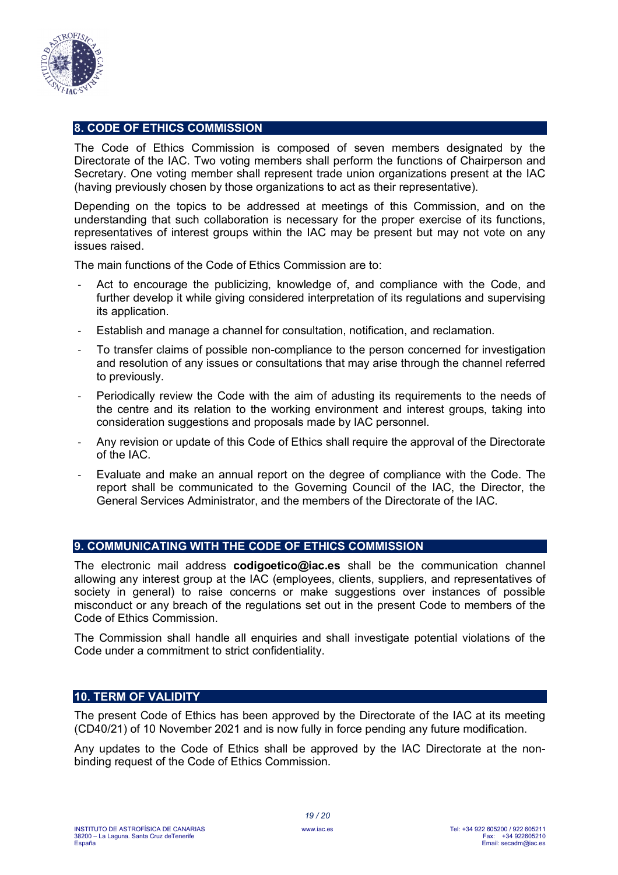

# **8. CODE OF ETHICS COMMISSION**

The Code of Ethics Commission is composed of seven members designated by the Directorate of the IAC. Two voting members shall perform the functions of Chairperson and Secretary. One voting member shall represent trade union organizations present at the IAC (having previously chosen by those organizations to act as their representative).

Depending on the topics to be addressed at meetings of this Commission, and on the understanding that such collaboration is necessary for the proper exercise of its functions, representatives of interest groups within the IAC may be present but may not vote on any issues raised.

The main functions of the Code of Ethics Commission are to:

- Act to encourage the publicizing, knowledge of, and compliance with the Code, and further develop it while giving considered interpretation of its regulations and supervising its application.
- Establish and manage a channel for consultation, notification, and reclamation.
- To transfer claims of possible non-compliance to the person concerned for investigation and resolution of any issues or consultations that may arise through the channel referred to previously.
- Periodically review the Code with the aim of adusting its requirements to the needs of the centre and its relation to the working environment and interest groups, taking into consideration suggestions and proposals made by IAC personnel.
- Any revision or update of this Code of Ethics shall require the approval of the Directorate of the IAC.
- Evaluate and make an annual report on the degree of compliance with the Code. The report shall be communicated to the Governing Council of the IAC, the Director, the General Services Administrator, and the members of the Directorate of the IAC.

#### **9. COMMUNICATING WITH THE CODE OF ETHICS COMMISSION**

The electronic mail address **codigoetico@iac.es** shall be the communication channel allowing any interest group at the IAC (employees, clients, suppliers, and representatives of society in general) to raise concerns or make suggestions over instances of possible misconduct or any breach of the regulations set out in the present Code to members of the Code of Ethics Commission.

The Commission shall handle all enquiries and shall investigate potential violations of the Code under a commitment to strict confidentiality.

#### **10. TERM OF VALIDITY**

The present Code of Ethics has been approved by the Directorate of the IAC at its meeting (CD40/21) of 10 November 2021 and is now fully in force pending any future modification.

Any updates to the Code of Ethics shall be approved by the IAC Directorate at the nonbinding request of the Code of Ethics Commission.